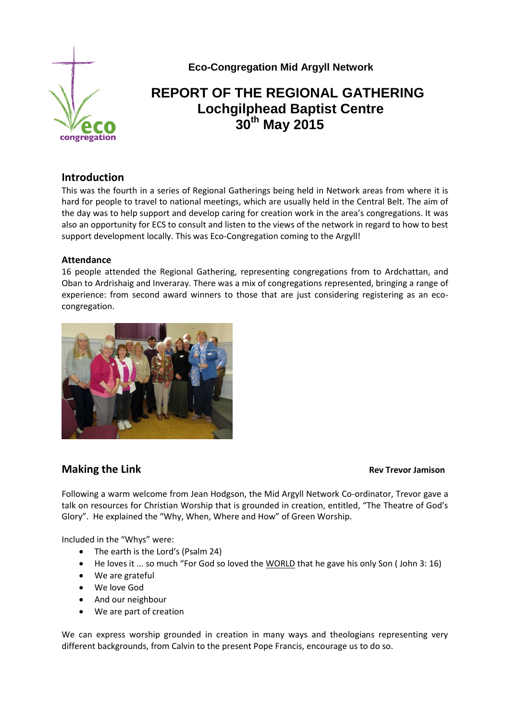

 **Eco-Congregation Mid Argyll Network**

# **REPORT OF THE REGIONAL GATHERING Lochgilphead Baptist Centre 30th May 2015**

## **Introduction**

This was the fourth in a series of Regional Gatherings being held in Network areas from where it is hard for people to travel to national meetings, which are usually held in the Central Belt. The aim of the day was to help support and develop caring for creation work in the area's congregations. It was also an opportunity for ECS to consult and listen to the views of the network in regard to how to best support development locally. This was Eco-Congregation coming to the Argyll!

#### **Attendance**

16 people attended the Regional Gathering, representing congregations from to Ardchattan, and Oban to Ardrishaig and Inveraray. There was a mix of congregations represented, bringing a range of experience: from second award winners to those that are just considering registering as an ecocongregation.



## **Making the Link Contract Contract Contract Contract Contract Contract Contract Contract Contract Contract Contract Contract Contract Contract Contract Contract Contract Contract Contract Contract Contract Contract Contr**

Following a warm welcome from Jean Hodgson, the Mid Argyll Network Co-ordinator, Trevor gave a talk on resources for Christian Worship that is grounded in creation, entitled, "The Theatre of God's Glory". He explained the "Why, When, Where and How" of Green Worship.

Included in the "Whys" were:

- The earth is the Lord's (Psalm 24)
- He loves it ... so much "For God so loved the WORLD that he gave his only Son ( John 3: 16)
- We are grateful
- We love God
- And our neighbour
- We are part of creation

We can express worship grounded in creation in many ways and theologians representing very different backgrounds, from Calvin to the present Pope Francis, encourage us to do so.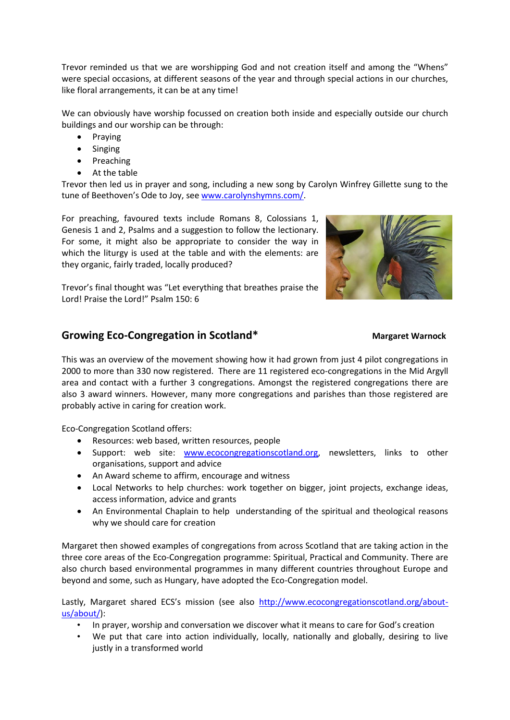Trevor reminded us that we are worshipping God and not creation itself and among the "Whens" were special occasions, at different seasons of the year and through special actions in our churches, like floral arrangements, it can be at any time!

We can obviously have worship focussed on creation both inside and especially outside our church buildings and our worship can be through:

- Praying
- Singing
- Preaching
- At the table

Trevor then led us in prayer and song, including a new song by Carolyn Winfrey Gillette sung to the tune of Beethoven's Ode to Joy, see [www.carolynshymns.com/.](http://www.carolynshymns.com/)

For preaching, favoured texts include Romans 8, Colossians 1, Genesis 1 and 2, Psalms and a suggestion to follow the lectionary. For some, it might also be appropriate to consider the way in which the liturgy is used at the table and with the elements: are they organic, fairly traded, locally produced?



Trevor's final thought was "Let everything that breathes praise the Lord! Praise the Lord!" Psalm 150: 6

# **Growing Eco-Congregation in Scotland\* Margaret Warnock**

This was an overview of the movement showing how it had grown from just 4 pilot congregations in 2000 to more than 330 now registered. There are 11 registered eco-congregations in the Mid Argyll area and contact with a further 3 congregations. Amongst the registered congregations there are also 3 award winners. However, many more congregations and parishes than those registered are probably active in caring for creation work.

Eco-Congregation Scotland offers:

- Resources: web based, written resources, people
- Support: web site: [www.ecocongregationscotland.org,](http://www.ecocongregationscotland.org/) newsletters, links to other organisations, support and advice
- An Award scheme to affirm, encourage and witness
- Local Networks to help churches: work together on bigger, joint projects, exchange ideas, access information, advice and grants
- An Environmental Chaplain to help understanding of the spiritual and theological reasons why we should care for creation

Margaret then showed examples of congregations from across Scotland that are taking action in the three core areas of the Eco-Congregation programme: Spiritual, Practical and Community. There are also church based environmental programmes in many different countries throughout Europe and beyond and some, such as Hungary, have adopted the Eco-Congregation model.

Lastly, Margaret shared ECS's mission (see also [http://www.ecocongregationscotland.org/about](http://www.ecocongregationscotland.org/about-us/about/)[us/about/\)](http://www.ecocongregationscotland.org/about-us/about/):

- In prayer, worship and conversation we discover what it means to care for God's creation
- We put that care into action individually, locally, nationally and globally, desiring to live justly in a transformed world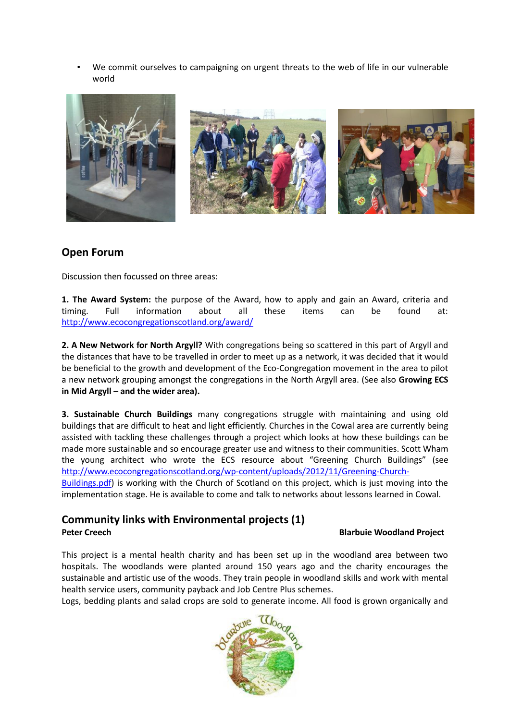• We commit ourselves to campaigning on urgent threats to the web of life in our vulnerable world



# **Open Forum**

Discussion then focussed on three areas:

**1. The Award System:** the purpose of the Award, how to apply and gain an Award, criteria and timing. Full information about all these items can be found at: <http://www.ecocongregationscotland.org/award/>

**2. A New Network for North Argyll?** With congregations being so scattered in this part of Argyll and the distances that have to be travelled in order to meet up as a network, it was decided that it would be beneficial to the growth and development of the Eco-Congregation movement in the area to pilot a new network grouping amongst the congregations in the North Argyll area. (See also **Growing ECS in Mid Argyll – and the wider area).**

**3. Sustainable Church Buildings** many congregations struggle with maintaining and using old buildings that are difficult to heat and light efficiently. Churches in the Cowal area are currently being assisted with tackling these challenges through a project which looks at how these buildings can be made more sustainable and so encourage greater use and witness to their communities. Scott Wham the young architect who wrote the ECS resource about "Greening Church Buildings" (see [http://www.ecocongregationscotland.org/wp](http://www.ecocongregationscotland.org/wp-content/uploads/2012/11/Greening-Church-Buildings.pdf)-content/uploads/2012/11/Greening-Church-

[Buildings.pdf\)](http://www.ecocongregationscotland.org/wp-content/uploads/2012/11/Greening-Church-Buildings.pdf) is working with the Church of Scotland on this project, which is just moving into the implementation stage. He is available to come and talk to networks about lessons learned in Cowal.

### **Community links with Environmental projects (1) Peter Creech Blarbuie Woodland Project**

This project is a mental health charity and has been set up in the woodland area between two hospitals. The woodlands were planted around 150 years ago and the charity encourages the sustainable and artistic use of the woods. They train people in woodland skills and work with mental health service users, community payback and Job Centre Plus schemes.

Logs, bedding plants and salad crops are sold to generate income. All food is grown organically and

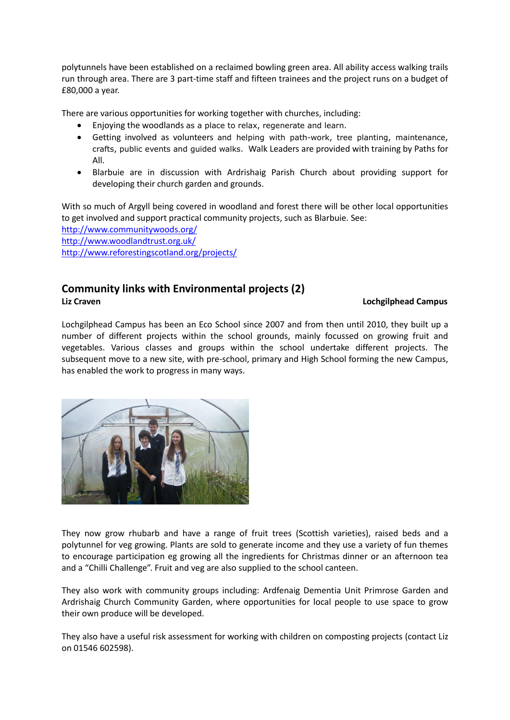polytunnels have been established on a reclaimed bowling green area. All ability access walking trails run through area. There are 3 part-time staff and fifteen trainees and the project runs on a budget of £80,000 a year.

There are various opportunities for working together with churches, including:

- Enjoying the woodlands as a place to relax, regenerate and learn.
- Getting involved as volunteers and helping with path-work, tree planting, maintenance, crafts, public events and guided walks. Walk Leaders are provided with training by Paths for All.
- Blarbuie are in discussion with Ardrishaig Parish Church about providing support for developing their church garden and grounds.

With so much of Argyll being covered in woodland and forest there will be other local opportunities to get involved and support practical community projects, such as Blarbuie. See:

<http://www.communitywoods.org/> <http://www.woodlandtrust.org.uk/> <http://www.reforestingscotland.org/projects/>

# **Community links with Environmental projects (2) Liz Craven Lochgilphead Campus**

Lochgilphead Campus has been an Eco School since 2007 and from then until 2010, they built up a number of different projects within the school grounds, mainly focussed on growing fruit and vegetables. Various classes and groups within the school undertake different projects. The subsequent move to a new site, with pre-school, primary and High School forming the new Campus, has enabled the work to progress in many ways.



They now grow rhubarb and have a range of fruit trees (Scottish varieties), raised beds and a polytunnel for veg growing. Plants are sold to generate income and they use a variety of fun themes to encourage participation eg growing all the ingredients for Christmas dinner or an afternoon tea and a "Chilli Challenge". Fruit and veg are also supplied to the school canteen.

They also work with community groups including: Ardfenaig Dementia Unit Primrose Garden and Ardrishaig Church Community Garden, where opportunities for local people to use space to grow their own produce will be developed.

They also have a useful risk assessment for working with children on composting projects (contact Liz on 01546 602598).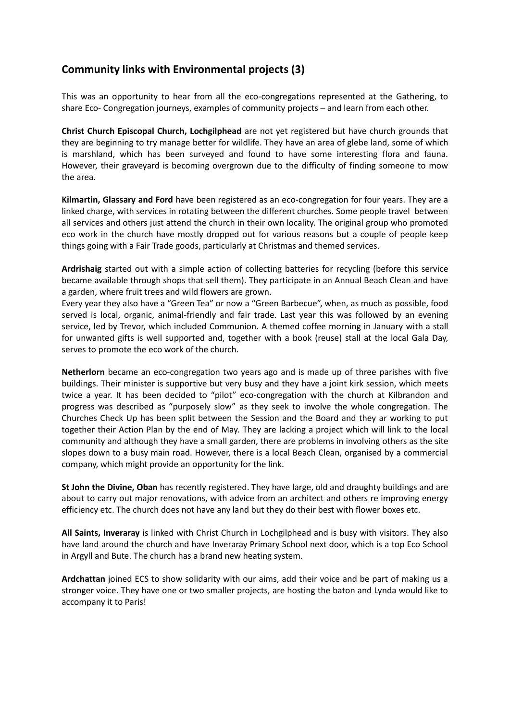# **Community links with Environmental projects (3)**

This was an opportunity to hear from all the eco-congregations represented at the Gathering, to share Eco- Congregation journeys, examples of community projects – and learn from each other.

**Christ Church Episcopal Church, Lochgilphead** are not yet registered but have church grounds that they are beginning to try manage better for wildlife. They have an area of glebe land, some of which is marshland, which has been surveyed and found to have some interesting flora and fauna. However, their graveyard is becoming overgrown due to the difficulty of finding someone to mow the area.

**Kilmartin, Glassary and Ford** have been registered as an eco-congregation for four years. They are a linked charge, with services in rotating between the different churches. Some people travel between all services and others just attend the church in their own locality. The original group who promoted eco work in the church have mostly dropped out for various reasons but a couple of people keep things going with a Fair Trade goods, particularly at Christmas and themed services.

**Ardrishaig** started out with a simple action of collecting batteries for recycling (before this service became available through shops that sell them). They participate in an Annual Beach Clean and have a garden, where fruit trees and wild flowers are grown.

Every year they also have a "Green Tea" or now a "Green Barbecue", when, as much as possible, food served is local, organic, animal-friendly and fair trade. Last year this was followed by an evening service, led by Trevor, which included Communion. A themed coffee morning in January with a stall for unwanted gifts is well supported and, together with a book (reuse) stall at the local Gala Day, serves to promote the eco work of the church.

**Netherlorn** became an eco-congregation two years ago and is made up of three parishes with five buildings. Their minister is supportive but very busy and they have a joint kirk session, which meets twice a year. It has been decided to "pilot" eco-congregation with the church at Kilbrandon and progress was described as "purposely slow" as they seek to involve the whole congregation. The Churches Check Up has been split between the Session and the Board and they ar working to put together their Action Plan by the end of May. They are lacking a project which will link to the local community and although they have a small garden, there are problems in involving others as the site slopes down to a busy main road. However, there is a local Beach Clean, organised by a commercial company, which might provide an opportunity for the link.

**St John the Divine, Oban** has recently registered. They have large, old and draughty buildings and are about to carry out major renovations, with advice from an architect and others re improving energy efficiency etc. The church does not have any land but they do their best with flower boxes etc.

**All Saints, Inveraray** is linked with Christ Church in Lochgilphead and is busy with visitors. They also have land around the church and have Inveraray Primary School next door, which is a top Eco School in Argyll and Bute. The church has a brand new heating system.

**Ardchattan** joined ECS to show solidarity with our aims, add their voice and be part of making us a stronger voice. They have one or two smaller projects, are hosting the baton and Lynda would like to accompany it to Paris!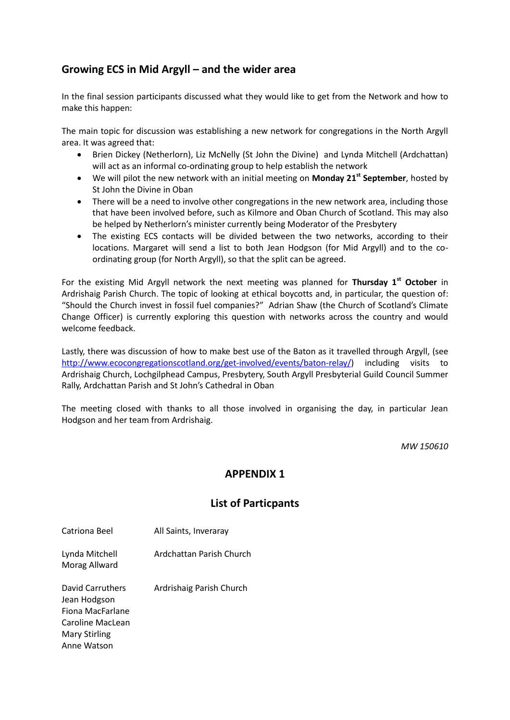# **Growing ECS in Mid Argyll – and the wider area**

In the final session participants discussed what they would like to get from the Network and how to make this happen:

The main topic for discussion was establishing a new network for congregations in the North Argyll area. It was agreed that:

- Brien Dickey (Netherlorn), Liz McNelly (St John the Divine) and Lynda Mitchell (Ardchattan) will act as an informal co-ordinating group to help establish the network
- We will pilot the new network with an initial meeting on **Monday 21st September**, hosted by St John the Divine in Oban
- There will be a need to involve other congregations in the new network area, including those that have been involved before, such as Kilmore and Oban Church of Scotland. This may also be helped by Netherlorn's minister currently being Moderator of the Presbytery
- The existing ECS contacts will be divided between the two networks, according to their locations. Margaret will send a list to both Jean Hodgson (for Mid Argyll) and to the coordinating group (for North Argyll), so that the split can be agreed.

For the existing Mid Argyll network the next meeting was planned for **Thursday 1st October** in Ardrishaig Parish Church. The topic of looking at ethical boycotts and, in particular, the question of: "Should the Church invest in fossil fuel companies?" Adrian Shaw (the Church of Scotland's Climate Change Officer) is currently exploring this question with networks across the country and would welcome feedback.

Lastly, there was discussion of how to make best use of the Baton as it travelled through Argyll, (see [http://www.ecocongregationscotland.org/get](http://www.ecocongregationscotland.org/get-involved/events/baton-relay/)-involved/events/baton-relay/) including visits to Ardrishaig Church, Lochgilphead Campus, Presbytery, South Argyll Presbyterial Guild Council Summer Rally, Ardchattan Parish and St John's Cathedral in Oban

The meeting closed with thanks to all those involved in organising the day, in particular Jean Hodgson and her team from Ardrishaig.

*MW 150610*

## **APPENDIX 1**

## **List of Particpants**

Catriona Beel All Saints, Inveraray

Lynda Mitchell Ardchattan Parish Church Morag Allward

David Carruthers Ardrishaig Parish Church Jean Hodgson Fiona MacFarlane Caroline MacLean Mary Stirling Anne Watson